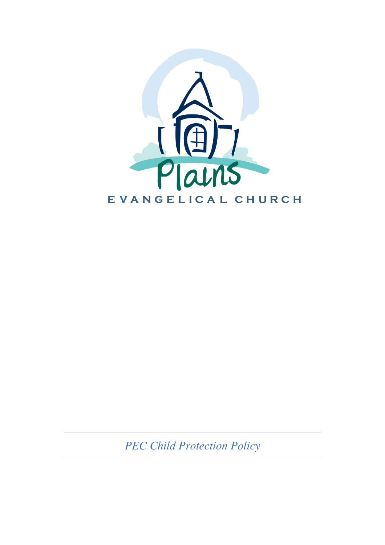

*PEC Child Protection Policy*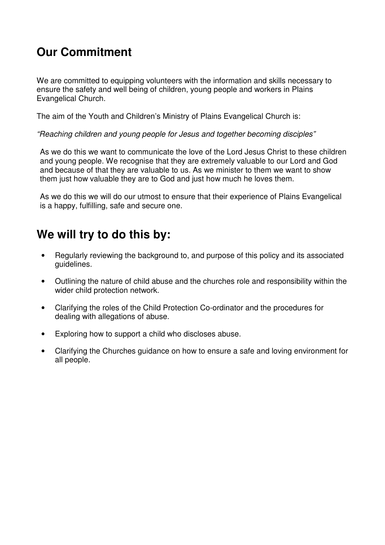## **Our Commitment**

We are committed to equipping volunteers with the information and skills necessary to ensure the safety and well being of children, young people and workers in Plains Evangelical Church.

The aim of the Youth and Children's Ministry of Plains Evangelical Church is:

"Reaching children and young people for Jesus and together becoming disciples"

As we do this we want to communicate the love of the Lord Jesus Christ to these children and young people. We recognise that they are extremely valuable to our Lord and God and because of that they are valuable to us. As we minister to them we want to show them just how valuable they are to God and just how much he loves them.

As we do this we will do our utmost to ensure that their experience of Plains Evangelical is a happy, fulfilling, safe and secure one.

## **We will try to do this by:**

- Regularly reviewing the background to, and purpose of this policy and its associated guidelines.
- Outlining the nature of child abuse and the churches role and responsibility within the wider child protection network.
- Clarifying the roles of the Child Protection Co-ordinator and the procedures for dealing with allegations of abuse.
- Exploring how to support a child who discloses abuse.
- Clarifying the Churches guidance on how to ensure a safe and loving environment for all people.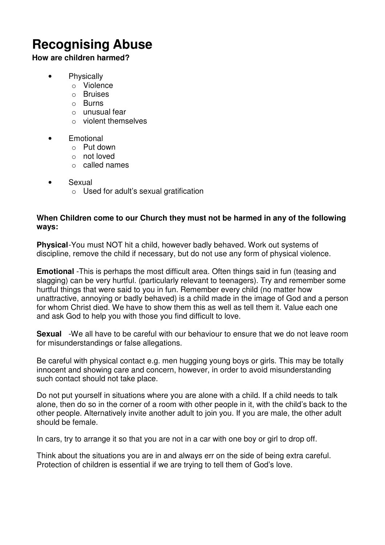# **Recognising Abuse**

#### **How are children harmed?**

- Physically
	- o Violence
	- o Bruises
	- o Burns
	- o unusual fear
	- o violent themselves
- Emotional
	- o Put down
	- o not loved
	- o called names
- Sexual
	- o Used for adult's sexual gratification

#### **When Children come to our Church they must not be harmed in any of the following ways:**

**Physical** - You must NOT hit a child, however badly behaved. Work out systems of discipline, remove the child if necessary, but do not use any form of physical violence.

**Emotional** -This is perhaps the most difficult area. Often things said in fun (teasing and slagging) can be very hurtful. (particularly relevant to teenagers). Try and remember some hurtful things that were said to you in fun. Remember every child (no matter how unattractive, annoying or badly behaved) is a child made in the image of God and a person for whom Christ died. We have to show them this as well as tell them it. Value each one and ask God to help you with those you find difficult to love.

**Sexual** -We all have to be careful with our behaviour to ensure that we do not leave room for misunderstandings or false allegations.

Be careful with physical contact e.g. men hugging young boys or girls. This may be totally innocent and showing care and concern, however, in order to avoid misunderstanding such contact should not take place.

Do not put yourself in situations where you are alone with a child. If a child needs to talk alone, then do so in the corner of a room with other people in it, with the child's back to the other people. Alternatively invite another adult to join you. If you are male, the other adult should be female.

In cars, try to arrange it so that you are not in a car with one boy or girl to drop off.

Think about the situations you are in and always err on the side of being extra careful. Protection of children is essential if we are trying to tell them of God's love.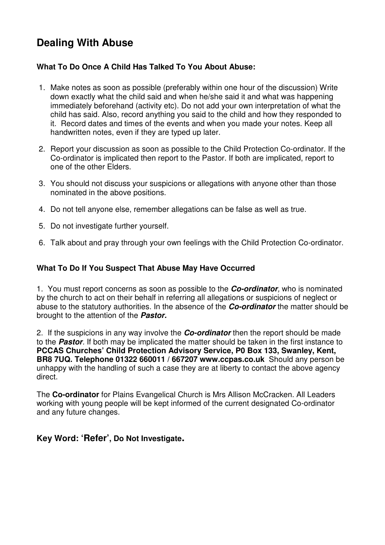## **Dealing With Abuse**

### **What To Do Once A Child Has Talked To You About Abuse:**

- 1. Make notes as soon as possible (preferably within one hour of the discussion) Write down exactly what the child said and when he/she said it and what was happening immediately beforehand (activity etc). Do not add your own interpretation of what the child has said. Also, record anything you said to the child and how they responded to it. Record dates and times of the events and when you made your notes. Keep all handwritten notes, even if they are typed up later.
- 2. Report your discussion as soon as possible to the Child Protection Co-ordinator. If the Co-ordinator is implicated then report to the Pastor. If both are implicated, report to one of the other Elders.
- 3. You should not discuss your suspicions or allegations with anyone other than those nominated in the above positions.
- 4. Do not tell anyone else, remember allegations can be false as well as true.
- 5. Do not investigate further yourself.
- 6. Talk about and pray through your own feelings with the Child Protection Co-ordinator.

#### **What To Do If You Suspect That Abuse May Have Occurred**

1. You must report concerns as soon as possible to the *Co-ordinator*, who is nominated by the church to act on their behalf in referring all allegations or suspicions of neglect or abuse to the statutory authorities. In the absence of the *Co-ordinator* the matter should be brought to the attention of the *Pastor.*

2. If the suspicions in any way involve the *Co-ordinator* then the report should be made to the *Pastor*. If both may be implicated the matter should be taken in the first instance to **PCCAS Churches' Child Protection Advisory Service, P0 Box 133, Swanley, Kent, BR8 7UQ. Telephone 01322 660011 / 667207 www.ccpas.co.uk** Should any person be unhappy with the handling of such a case they are at liberty to contact the above agency direct.

The **Co-ordinator** for Plains Evangelical Church is Mrs Allison McCracken. All Leaders working with young people will be kept informed of the current designated Co-ordinator and any future changes.

### **Key Word: 'Refer', Do Not Investigate.**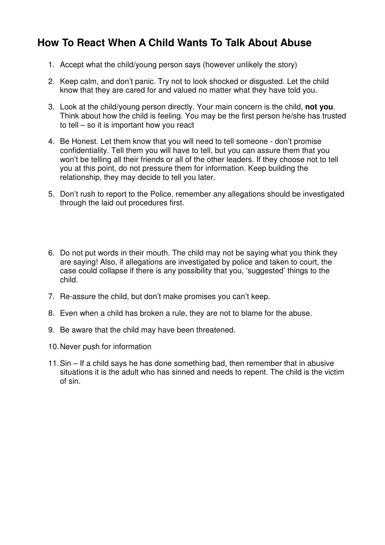## **How To React When A Child Wants To Talk About Abuse**

- 1. Accept what the child/young person says (however unlikely the story)
- 2. Keep calm, and don't panic. Try not to look shocked or disgusted. Let the child know that they are cared for and valued no matter what they have told you.
- 3. Look at the child/young person directly. Your main concern is the child, **not you**. Think about how the child is feeling. You may be the first person he/she has trusted to tell – so it is important how you react
- 4. Be Honest. Let them know that you will need to tell someone don't promise confidentiality. Tell them you will have to tell, but you can assure them that you won't be telling all their friends or all of the other leaders. If they choose not to tell you at this point, do not pressure them for information. Keep building the relationship, they may decide to tell you later.
- 5. Don't rush to report to the Police, remember any allegations should be investigated through the laid out procedures first.
- 6. Do not put words in their mouth. The child may not be saying what you think they are saying! Also, if allegations are investigated by police and taken to court, the case could collapse if there is any possibility that you, 'suggested' things to the child.
- 7. Re-assure the child, but don't make promises you can't keep.
- 8. Even when a child has broken a rule, they are not to blame for the abuse.
- 9. Be aware that the child may have been threatened.
- 10. Never push for information
- 11. Sin If a child says he has done something bad, then remember that in abusive situations it is the adult who has sinned and needs to repent. The child is the victim of sin.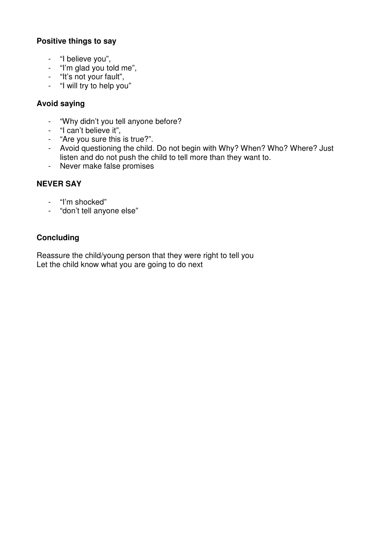### **Positive things to say**

- "I believe you",
- "I'm glad you told me",
- "It's not your fault",
- "I will try to help you"

#### **Avoid saying**

- "Why didn't you tell anyone before?
- "I can't believe it",
- "Are you sure this is true?".
- Avoid questioning the child. Do not begin with Why? When? Who? Where? Just listen and do not push the child to tell more than they want to.
- Never make false promises

### **NEVER SAY**

- "I'm shocked"
- "don't tell anyone else"

### **Concluding**

Reassure the child/young person that they were right to tell you Let the child know what you are going to do next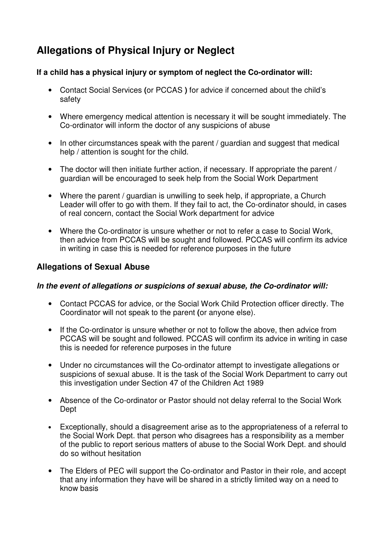## **Allegations of Physical Injury or Neglect**

#### **If a child has a physical injury or symptom of neglect the Co-ordinator will:**

- Contact Social Services **(**or PCCAS **)** for advice if concerned about the child's safety
- Where emergency medical attention is necessary it will be sought immediately. The Co-ordinator will inform the doctor of any suspicions of abuse
- In other circumstances speak with the parent / guardian and suggest that medical help / attention is sought for the child.
- The doctor will then initiate further action, if necessary. If appropriate the parent / guardian will be encouraged to seek help from the Social Work Department
- Where the parent / guardian is unwilling to seek help, if appropriate, a Church Leader will offer to go with them. If they fail to act, the Co-ordinator should, in cases of real concern, contact the Social Work department for advice
- Where the Co-ordinator is unsure whether or not to refer a case to Social Work, then advice from PCCAS will be sought and followed. PCCAS will confirm its advice in writing in case this is needed for reference purposes in the future

### **Allegations of Sexual Abuse**

#### *In the event of allegations or suspicions of sexual abuse, the Co-ordinator will:*

- Contact PCCAS for advice, or the Social Work Child Protection officer directly. The Coordinator will not speak to the parent **(**or anyone else).
- If the Co-ordinator is unsure whether or not to follow the above, then advice from PCCAS will be sought and followed. PCCAS will confirm its advice in writing in case this is needed for reference purposes in the future
- Under no circumstances will the Co-ordinator attempt to investigate allegations or suspicions of sexual abuse. It is the task of the Social Work Department to carry out this investigation under Section 47 of the Children Act 1989
- Absence of the Co-ordinator or Pastor should not delay referral to the Social Work Dept
- Exceptionally, should a disagreement arise as to the appropriateness of a referral to the Social Work Dept. that person who disagrees has a responsibility as a member of the public to report serious matters of abuse to the Social Work Dept. and should do so without hesitation
- The Elders of PEC will support the Co-ordinator and Pastor in their role, and accept that any information they have will be shared in a strictly limited way on a need to know basis